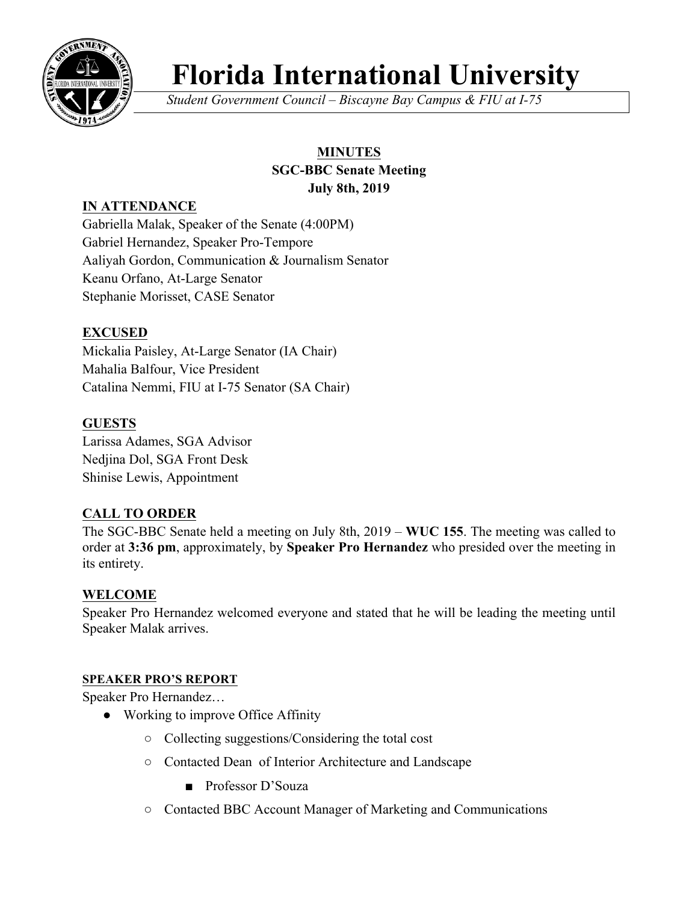

# **Florida International University**

*Student Government Council – Biscayne Bay Campus & FIU at I-75*

## **MINUTES SGC-BBC Senate Meeting July 8th, 2019**

# **IN ATTENDANCE**

Gabriella Malak, Speaker of the Senate (4:00PM) Gabriel Hernandez, Speaker Pro-Tempore Aaliyah Gordon, Communication & Journalism Senator Keanu Orfano, At-Large Senator Stephanie Morisset, CASE Senator

# **EXCUSED**

Mickalia Paisley, At-Large Senator (IA Chair) Mahalia Balfour, Vice President Catalina Nemmi, FIU at I-75 Senator (SA Chair)

## **GUESTS**

Larissa Adames, SGA Advisor Nedjina Dol, SGA Front Desk Shinise Lewis, Appointment

# **CALL TO ORDER**

The SGC-BBC Senate held a meeting on July 8th, 2019 – **WUC 155**. The meeting was called to order at **3:36 pm**, approximately, by **Speaker Pro Hernandez** who presided over the meeting in its entirety.

## **WELCOME**

Speaker Pro Hernandez welcomed everyone and stated that he will be leading the meeting until Speaker Malak arrives.

## **SPEAKER PRO'S REPORT**

Speaker Pro Hernandez…

- Working to improve Office Affinity
	- Collecting suggestions/Considering the total cost
	- Contacted Dean of Interior Architecture and Landscape
		- Professor D'Souza
	- Contacted BBC Account Manager of Marketing and Communications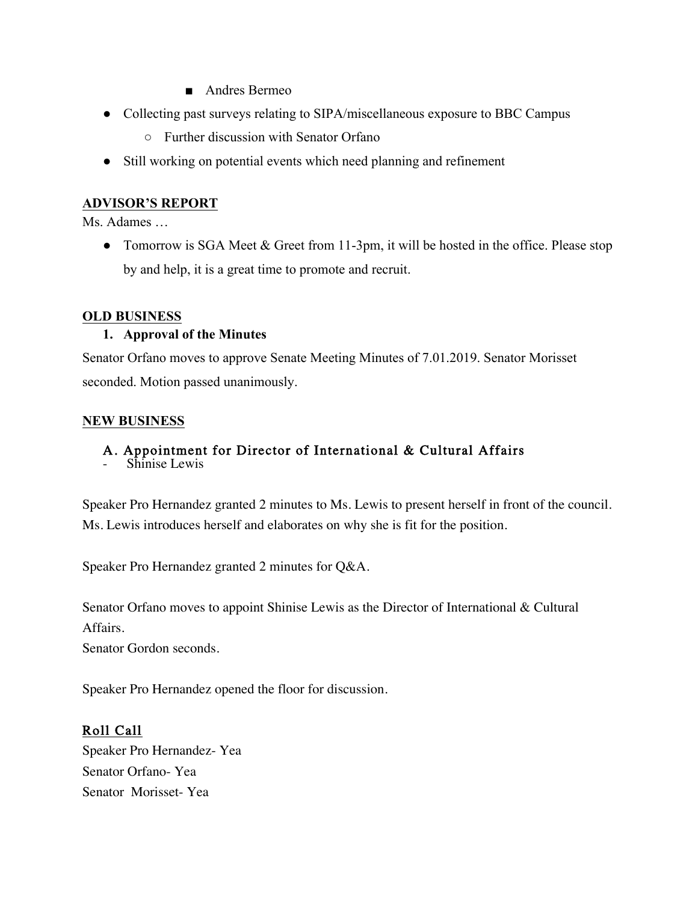- Andres Bermeo
- Collecting past surveys relating to SIPA/miscellaneous exposure to BBC Campus
	- Further discussion with Senator Orfano
- Still working on potential events which need planning and refinement

## **ADVISOR'S REPORT**

Ms. Adames

• Tomorrow is SGA Meet & Greet from 11-3pm, it will be hosted in the office. Please stop by and help, it is a great time to promote and recruit.

## **OLD BUSINESS**

## **1. Approval of the Minutes**

Senator Orfano moves to approve Senate Meeting Minutes of 7.01.2019. Senator Morisset seconded. Motion passed unanimously.

## **NEW BUSINESS**

## A. Appointment for Director of International & Cultural Affairs

Shinise Lewis

Speaker Pro Hernandez granted 2 minutes to Ms. Lewis to present herself in front of the council. Ms. Lewis introduces herself and elaborates on why she is fit for the position.

Speaker Pro Hernandez granted 2 minutes for Q&A.

Senator Orfano moves to appoint Shinise Lewis as the Director of International & Cultural Affairs.

Senator Gordon seconds.

Speaker Pro Hernandez opened the floor for discussion.

# Roll Call

Speaker Pro Hernandez- Yea Senator Orfano- Yea Senator Morisset- Yea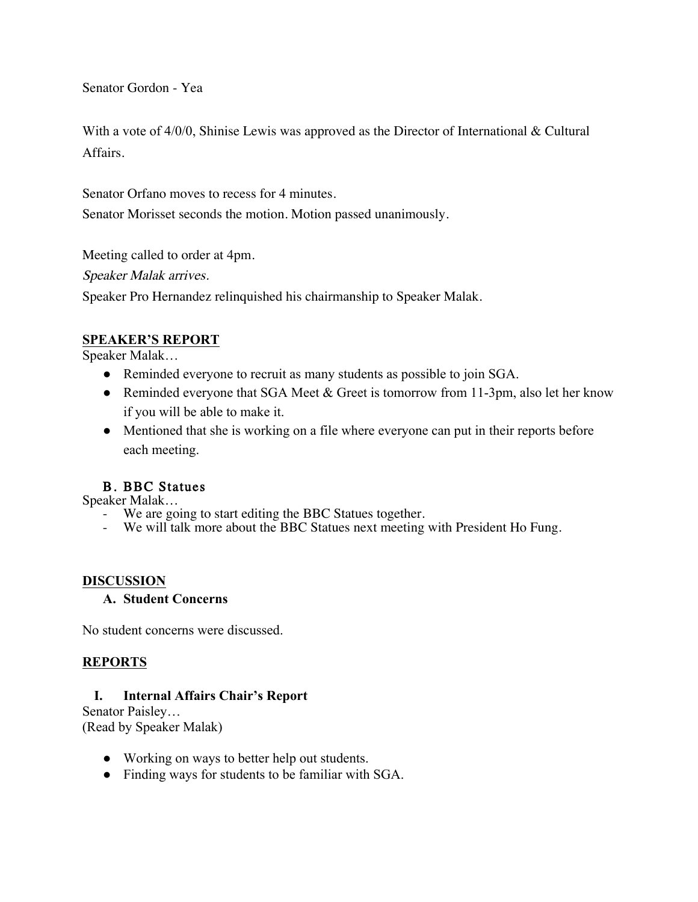Senator Gordon - Yea

With a vote of  $4/0/0$ , Shinise Lewis was approved as the Director of International & Cultural Affairs.

Senator Orfano moves to recess for 4 minutes.

Senator Morisset seconds the motion. Motion passed unanimously.

Meeting called to order at 4pm.

Speaker Malak arrives.

Speaker Pro Hernandez relinquished his chairmanship to Speaker Malak.

## **SPEAKER'S REPORT**

Speaker Malak…

- Reminded everyone to recruit as many students as possible to join SGA.
- Reminded everyone that SGA Meet & Greet is tomorrow from 11-3pm, also let her know if you will be able to make it.
- Mentioned that she is working on a file where everyone can put in their reports before each meeting.

## B. BBC Statues

Speaker Malak…

- We are going to start editing the BBC Statues together.
- We will talk more about the BBC Statues next meeting with President Ho Fung.

## **DISCUSSION**

#### **A. Student Concerns**

No student concerns were discussed.

## **REPORTS**

## **I. Internal Affairs Chair's Report**

Senator Paisley… (Read by Speaker Malak)

- Working on ways to better help out students.
- Finding ways for students to be familiar with SGA.